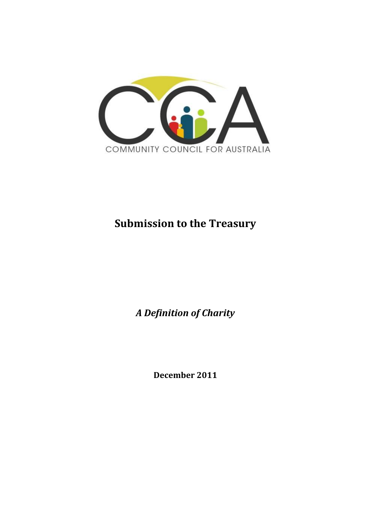

# **Submission to the Treasury**

*A Definition of Charity* 

**December 2011**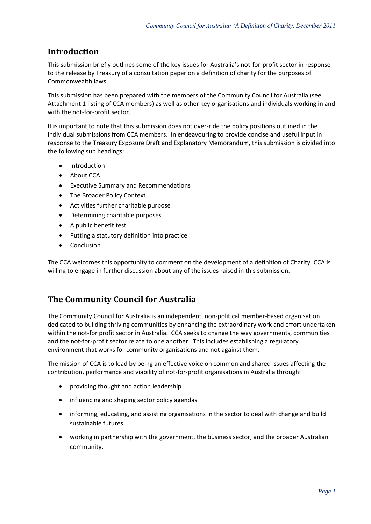### **Introduction**

This submission briefly outlines some of the key issues for Australia's not-for-profit sector in response to the release by Treasury of a consultation paper on a definition of charity for the purposes of Commonwealth laws.

This submission has been prepared with the members of the Community Council for Australia (see Attachment 1 listing of CCA members) as well as other key organisations and individuals working in and with the not-for-profit sector.

It is important to note that this submission does not over-ride the policy positions outlined in the individual submissions from CCA members. In endeavouring to provide concise and useful input in response to the Treasury Exposure Draft and Explanatory Memorandum, this submission is divided into the following sub headings:

- Introduction
- About CCA
- Executive Summary and Recommendations
- The Broader Policy Context
- Activities further charitable purpose
- Determining charitable purposes
- A public benefit test
- Putting a statutory definition into practice
- Conclusion

The CCA welcomes this opportunity to comment on the development of a definition of Charity. CCA is willing to engage in further discussion about any of the issues raised in this submission.

# **The Community Council for Australia**

The Community Council for Australia is an independent, non-political member-based organisation dedicated to building thriving communities by enhancing the extraordinary work and effort undertaken within the not-for profit sector in Australia. CCA seeks to change the way governments, communities and the not-for-profit sector relate to one another. This includes establishing a regulatory environment that works for community organisations and not against them.

The mission of CCA is to lead by being an effective voice on common and shared issues affecting the contribution, performance and viability of not-for-profit organisations in Australia through:

- providing thought and action leadership
- influencing and shaping sector policy agendas
- informing, educating, and assisting organisations in the sector to deal with change and build sustainable futures
- working in partnership with the government, the business sector, and the broader Australian community.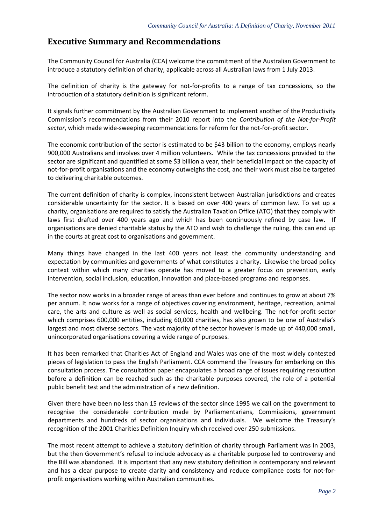### **Executive Summary and Recommendations**

The Community Council for Australia (CCA) welcome the commitment of the Australian Government to introduce a statutory definition of charity, applicable across all Australian laws from 1 July 2013.

The definition of charity is the gateway for not-for-profits to a range of tax concessions, so the introduction of a statutory definition is significant reform.

It signals further commitment by the Australian Government to implement another of the Productivity Commission's recommendations from their 2010 report into the *Contribution of the Not-for-Profit sector*, which made wide-sweeping recommendations for reform for the not-for-profit sector.

The economic contribution of the sector is estimated to be \$43 billion to the economy, employs nearly 900,000 Australians and involves over 4 million volunteers. While the tax concessions provided to the sector are significant and quantified at some \$3 billion a year, their beneficial impact on the capacity of not-for-profit organisations and the economy outweighs the cost, and their work must also be targeted to delivering charitable outcomes.

The current definition of charity is complex, inconsistent between Australian jurisdictions and creates considerable uncertainty for the sector. It is based on over 400 years of common law. To set up a charity, organisations are required to satisfy the Australian Taxation Office (ATO) that they comply with laws first drafted over 400 years ago and which has been continuously refined by case law. If organisations are denied charitable status by the ATO and wish to challenge the ruling, this can end up in the courts at great cost to organisations and government.

Many things have changed in the last 400 years not least the community understanding and expectation by communities and governments of what constitutes a charity. Likewise the broad policy context within which many charities operate has moved to a greater focus on prevention, early intervention, social inclusion, education, innovation and place-based programs and responses.

The sector now works in a broader range of areas than ever before and continues to grow at about 7% per annum. It now works for a range of objectives covering environment, heritage, recreation, animal care, the arts and culture as well as social services, health and wellbeing. The not-for-profit sector which comprises 600,000 entities, including 60,000 charities, has also grown to be one of Australia's largest and most diverse sectors. The vast majority of the sector however is made up of 440,000 small, unincorporated organisations covering a wide range of purposes.

It has been remarked that Charities Act of England and Wales was one of the most widely contested pieces of legislation to pass the English Parliament. CCA commend the Treasury for embarking on this consultation process. The consultation paper encapsulates a broad range of issues requiring resolution before a definition can be reached such as the charitable purposes covered, the role of a potential public benefit test and the administration of a new definition.

Given there have been no less than 15 reviews of the sector since 1995 we call on the government to recognise the considerable contribution made by Parliamentarians, Commissions, government departments and hundreds of sector organisations and individuals. We welcome the Treasury's recognition of the 2001 Charities Definition Inquiry which received over 250 submissions.

The most recent attempt to achieve a statutory definition of charity through Parliament was in 2003, but the then Government's refusal to include advocacy as a charitable purpose led to controversy and the Bill was abandoned. It is important that any new statutory definition is contemporary and relevant and has a clear purpose to create clarity and consistency and reduce compliance costs for not-forprofit organisations working within Australian communities.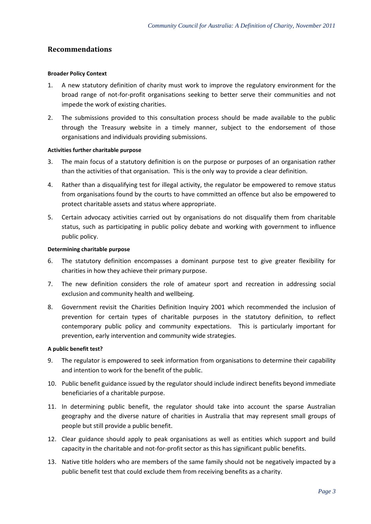### **Recommendations**

#### **Broader Policy Context**

- 1. A new statutory definition of charity must work to improve the regulatory environment for the broad range of not-for-profit organisations seeking to better serve their communities and not impede the work of existing charities.
- 2. The submissions provided to this consultation process should be made available to the public through the Treasury website in a timely manner, subject to the endorsement of those organisations and individuals providing submissions.

#### **Activities further charitable purpose**

- 3. The main focus of a statutory definition is on the purpose or purposes of an organisation rather than the activities of that organisation. This is the only way to provide a clear definition.
- 4. Rather than a disqualifying test for illegal activity, the regulator be empowered to remove status from organisations found by the courts to have committed an offence but also be empowered to protect charitable assets and status where appropriate.
- 5. Certain advocacy activities carried out by organisations do not disqualify them from charitable status, such as participating in public policy debate and working with government to influence public policy.

#### **Determining charitable purpose**

- 6. The statutory definition encompasses a dominant purpose test to give greater flexibility for charities in how they achieve their primary purpose.
- 7. The new definition considers the role of amateur sport and recreation in addressing social exclusion and community health and wellbeing.
- 8. Government revisit the Charities Definition Inquiry 2001 which recommended the inclusion of prevention for certain types of charitable purposes in the statutory definition, to reflect contemporary public policy and community expectations. This is particularly important for prevention, early intervention and community wide strategies.

#### **A public benefit test?**

- 9. The regulator is empowered to seek information from organisations to determine their capability and intention to work for the benefit of the public.
- 10. Public benefit guidance issued by the regulator should include indirect benefits beyond immediate beneficiaries of a charitable purpose.
- 11. In determining public benefit, the regulator should take into account the sparse Australian geography and the diverse nature of charities in Australia that may represent small groups of people but still provide a public benefit.
- 12. Clear guidance should apply to peak organisations as well as entities which support and build capacity in the charitable and not-for-profit sector as this has significant public benefits.
- 13. Native title holders who are members of the same family should not be negatively impacted by a public benefit test that could exclude them from receiving benefits as a charity.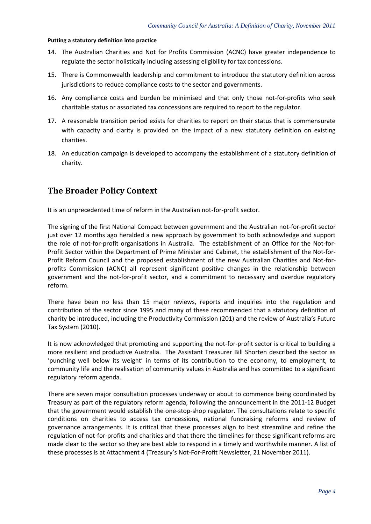#### **Putting a statutory definition into practice**

- 14. The Australian Charities and Not for Profits Commission (ACNC) have greater independence to regulate the sector holistically including assessing eligibility for tax concessions.
- 15. There is Commonwealth leadership and commitment to introduce the statutory definition across jurisdictions to reduce compliance costs to the sector and governments.
- 16. Any compliance costs and burden be minimised and that only those not-for-profits who seek charitable status or associated tax concessions are required to report to the regulator.
- 17. A reasonable transition period exists for charities to report on their status that is commensurate with capacity and clarity is provided on the impact of a new statutory definition on existing charities.
- 18. An education campaign is developed to accompany the establishment of a statutory definition of charity.

### **The Broader Policy Context**

It is an unprecedented time of reform in the Australian not-for-profit sector.

The signing of the first National Compact between government and the Australian not-for-profit sector just over 12 months ago heralded a new approach by government to both acknowledge and support the role of not-for-profit organisations in Australia. The establishment of an Office for the Not-for-Profit Sector within the Department of Prime Minister and Cabinet, the establishment of the Not-for-Profit Reform Council and the proposed establishment of the new Australian Charities and Not-forprofits Commission (ACNC) all represent significant positive changes in the relationship between government and the not-for-profit sector, and a commitment to necessary and overdue regulatory reform.

There have been no less than 15 major reviews, reports and inquiries into the regulation and contribution of the sector since 1995 and many of these recommended that a statutory definition of charity be introduced, including the Productivity Commission (201) and the review of Australia's Future Tax System (2010).

It is now acknowledged that promoting and supporting the not-for-profit sector is critical to building a more resilient and productive Australia. The Assistant Treasurer Bill Shorten described the sector as 'punching well below its weight' in terms of its contribution to the economy, to employment, to community life and the realisation of community values in Australia and has committed to a significant regulatory reform agenda.

There are seven major consultation processes underway or about to commence being coordinated by Treasury as part of the regulatory reform agenda, following the announcement in the 2011-12 Budget that the government would establish the one-stop-shop regulator. The consultations relate to specific conditions on charities to access tax concessions, national fundraising reforms and review of governance arrangements. It is critical that these processes align to best streamline and refine the regulation of not-for-profits and charities and that there the timelines for these significant reforms are made clear to the sector so they are best able to respond in a timely and worthwhile manner. A list of these processes is at Attachment 4 (Treasury's Not-For-Profit Newsletter, 21 November 2011).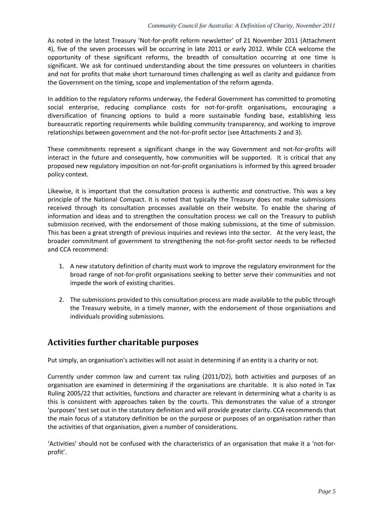As noted in the latest Treasury 'Not-for-profit reform newsletter' of 21 November 2011 (Attachment 4), five of the seven processes will be occurring in late 2011 or early 2012. While CCA welcome the opportunity of these significant reforms, the breadth of consultation occurring at one time is significant. We ask for continued understanding about the time pressures on volunteers in charities and not for profits that make short turnaround times challenging as well as clarity and guidance from the Government on the timing, scope and implementation of the reform agenda.

In addition to the regulatory reforms underway, the Federal Government has committed to promoting social enterprise, reducing compliance costs for not-for-profit organisations, encouraging a diversification of financing options to build a more sustainable funding base, establishing less bureaucratic reporting requirements while building community transparency, and working to improve relationships between government and the not-for-profit sector (see Attachments 2 and 3).

These commitments represent a significant change in the way Government and not-for-profits will interact in the future and consequently, how communities will be supported. It is critical that any proposed new regulatory imposition on not-for-profit organisations is informed by this agreed broader policy context.

Likewise, it is important that the consultation process is authentic and constructive. This was a key principle of the National Compact. It is noted that typically the Treasury does not make submissions received through its consultation processes available on their website. To enable the sharing of information and ideas and to strengthen the consultation process we call on the Treasury to publish submission received, with the endorsement of those making submissions, at the time of submission. This has been a great strength of previous inquiries and reviews into the sector. At the very least, the broader commitment of government to strengthening the not-for-profit sector needs to be reflected and CCA recommend:

- 1. A new statutory definition of charity must work to improve the regulatory environment for the broad range of not-for-profit organisations seeking to better serve their communities and not impede the work of existing charities.
- 2. The submissions provided to this consultation process are made available to the public through the Treasury website, in a timely manner, with the endorsement of those organisations and individuals providing submissions.

# **Activities further charitable purposes**

Put simply, an organisation's activities will not assist in determining if an entity is a charity or not.

Currently under common law and current tax ruling (2011/D2), both activities and purposes of an organisation are examined in determining if the organisations are charitable. It is also noted in Tax Ruling 2005/22 that activities, functions and character are relevant in determining what a charity is as this is consistent with approaches taken by the courts. This demonstrates the value of a stronger 'purposes' test set out in the statutory definition and will provide greater clarity. CCA recommends that the main focus of a statutory definition be on the purpose or purposes of an organisation rather than the activities of that organisation, given a number of considerations.

'Activities' should not be confused with the characteristics of an organisation that make it a 'not-forprofit'.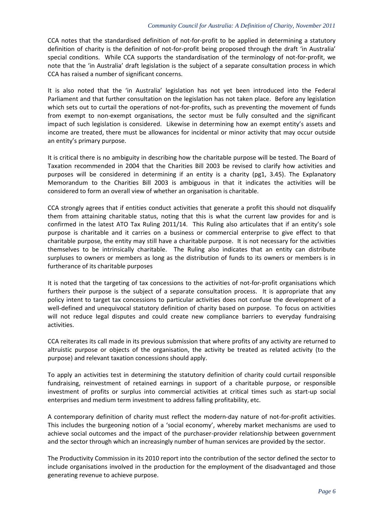CCA notes that the standardised definition of not-for-profit to be applied in determining a statutory definition of charity is the definition of not-for-profit being proposed through the draft 'in Australia' special conditions. While CCA supports the standardisation of the terminology of not-for-profit, we note that the 'in Australia' draft legislation is the subject of a separate consultation process in which CCA has raised a number of significant concerns.

It is also noted that the 'in Australia' legislation has not yet been introduced into the Federal Parliament and that further consultation on the legislation has not taken place. Before any legislation which sets out to curtail the operations of not-for-profits, such as preventing the movement of funds from exempt to non-exempt organisations, the sector must be fully consulted and the significant impact of such legislation is considered. Likewise in determining how an exempt entity's assets and income are treated, there must be allowances for incidental or minor activity that may occur outside an entity's primary purpose.

It is critical there is no ambiguity in describing how the charitable purpose will be tested. The Board of Taxation recommended in 2004 that the Charities Bill 2003 be revised to clarify how activities and purposes will be considered in determining if an entity is a charity (pg1, 3.45). The Explanatory Memorandum to the Charities Bill 2003 is ambiguous in that it indicates the activities will be considered to form an overall view of whether an organisation is charitable.

CCA strongly agrees that if entities conduct activities that generate a profit this should not disqualify them from attaining charitable status, noting that this is what the current law provides for and is confirmed in the latest ATO Tax Ruling 2011/14. This Ruling also articulates that if an entity's sole purpose is charitable and it carries on a business or commercial enterprise to give effect to that charitable purpose, the entity may still have a charitable purpose. It is not necessary for the activities themselves to be intrinsically charitable. The Ruling also indicates that an entity can distribute surpluses to owners or members as long as the distribution of funds to its owners or members is in furtherance of its charitable purposes

It is noted that the targeting of tax concessions to the activities of not-for-profit organisations which furthers their purpose is the subject of a separate consultation process. It is appropriate that any policy intent to target tax concessions to particular activities does not confuse the development of a well-defined and unequivocal statutory definition of charity based on purpose. To focus on activities will not reduce legal disputes and could create new compliance barriers to everyday fundraising activities.

CCA reiterates its call made in its previous submission that where profits of any activity are returned to altruistic purpose or objects of the organisation, the activity be treated as related activity (to the purpose) and relevant taxation concessions should apply.

To apply an activities test in determining the statutory definition of charity could curtail responsible fundraising, reinvestment of retained earnings in support of a charitable purpose, or responsible investment of profits or surplus into commercial activities at critical times such as start-up social enterprises and medium term investment to address falling profitability, etc.

A contemporary definition of charity must reflect the modern-day nature of not-for-profit activities. This includes the burgeoning notion of a 'social economy', whereby market mechanisms are used to achieve social outcomes and the impact of the purchaser-provider relationship between government and the sector through which an increasingly number of human services are provided by the sector.

The Productivity Commission in its 2010 report into the contribution of the sector defined the sector to include organisations involved in the production for the employment of the disadvantaged and those generating revenue to achieve purpose.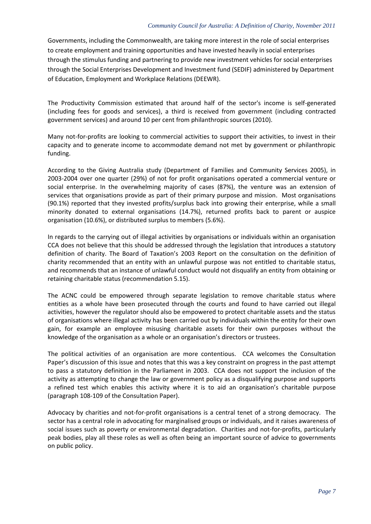#### *Community Council for Australia: A Definition of Charity, November 2011*

Governments, including the Commonwealth, are taking more interest in the role of social enterprises to create employment and training opportunities and have invested heavily in social enterprises through the stimulus funding and partnering to provide new investment vehicles for social enterprises through the Social Enterprises Development and Investment fund (SEDIF) administered by Department of Education, Employment and Workplace Relations (DEEWR).

The Productivity Commission estimated that around half of the sector's income is self-generated (including fees for goods and services), a third is received from government (including contracted government services) and around 10 per cent from philanthropic sources (2010).

Many not-for-profits are looking to commercial activities to support their activities, to invest in their capacity and to generate income to accommodate demand not met by government or philanthropic funding.

According to the Giving Australia study (Department of Families and Community Services 2005), in 2003-2004 over one quarter (29%) of not for profit organisations operated a commercial venture or social enterprise. In the overwhelming majority of cases (87%), the venture was an extension of services that organisations provide as part of their primary purpose and mission. Most organisations (90.1%) reported that they invested profits/surplus back into growing their enterprise, while a small minority donated to external organisations (14.7%), returned profits back to parent or auspice organisation (10.6%), or distributed surplus to members (5.6%).

In regards to the carrying out of illegal activities by organisations or individuals within an organisation CCA does not believe that this should be addressed through the legislation that introduces a statutory definition of charity. The Board of Taxation's 2003 Report on the consultation on the definition of charity recommended that an entity with an unlawful purpose was not entitled to charitable status, and recommends that an instance of unlawful conduct would not disqualify an entity from obtaining or retaining charitable status (recommendation 5.15).

The ACNC could be empowered through separate legislation to remove charitable status where entities as a whole have been prosecuted through the courts and found to have carried out illegal activities, however the regulator should also be empowered to protect charitable assets and the status of organisations where illegal activity has been carried out by individuals within the entity for their own gain, for example an employee misusing charitable assets for their own purposes without the knowledge of the organisation as a whole or an organisation's directors or trustees.

The political activities of an organisation are more contentious. CCA welcomes the Consultation Paper's discussion of this issue and notes that this was a key constraint on progress in the past attempt to pass a statutory definition in the Parliament in 2003. CCA does not support the inclusion of the activity as attempting to change the law or government policy as a disqualifying purpose and supports a refined test which enables this activity where it is to aid an organisation's charitable purpose (paragraph 108-109 of the Consultation Paper).

Advocacy by charities and not-for-profit organisations is a central tenet of a strong democracy. The sector has a central role in advocating for marginalised groups or individuals, and it raises awareness of social issues such as poverty or environmental degradation. Charities and not-for-profits, particularly peak bodies, play all these roles as well as often being an important source of advice to governments on public policy.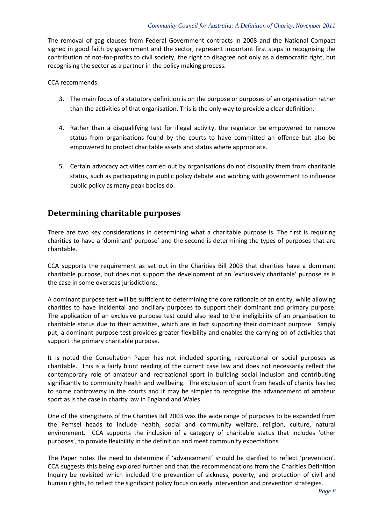The removal of gag clauses from Federal Government contracts in 2008 and the National Compact signed in good faith by government and the sector, represent important first steps in recognising the contribution of not-for-profits to civil society, the right to disagree not only as a democratic right, but recognising the sector as a partner in the policy making process.

CCA recommends:

- 3. The main focus of a statutory definition is on the purpose or purposes of an organisation rather than the activities of that organisation. This is the only way to provide a clear definition.
- 4. Rather than a disqualifying test for illegal activity, the regulator be empowered to remove status from organisations found by the courts to have committed an offence but also be empowered to protect charitable assets and status where appropriate.
- 5. Certain advocacy activities carried out by organisations do not disqualify them from charitable status, such as participating in public policy debate and working with government to influence public policy as many peak bodies do.

# **Determining charitable purposes**

There are two key considerations in determining what a charitable purpose is. The first is requiring charities to have a 'dominant' purpose' and the second is determining the types of purposes that are charitable.

CCA supports the requirement as set out in the Charities Bill 2003 that charities have a dominant charitable purpose, but does not support the development of an 'exclusively charitable' purpose as is the case in some overseas jurisdictions.

A dominant purpose test will be sufficient to determining the core rationale of an entity, while allowing charities to have incidental and ancillary purposes to support their dominant and primary purpose. The application of an exclusive purpose test could also lead to the ineligibility of an organisation to charitable status due to their activities, which are in fact supporting their dominant purpose. Simply put, a dominant purpose test provides greater flexibility and enables the carrying on of activities that support the primary charitable purpose.

It is noted the Consultation Paper has not included sporting, recreational or social purposes as charitable. This is a fairly blunt reading of the current case law and does not necessarily reflect the contemporary role of amateur and recreational sport in building social inclusion and contributing significantly to community health and wellbeing. The exclusion of sport from heads of charity has led to some controversy in the courts and it may be simpler to recognise the advancement of amateur sport as is the case in charity law in England and Wales.

One of the strengthens of the Charities Bill 2003 was the wide range of purposes to be expanded from the Pemsel heads to include health, social and community welfare, religion, culture, natural environment. CCA supports the inclusion of a category of charitable status that includes 'other purposes', to provide flexibility in the definition and meet community expectations.

The Paper notes the need to determine if 'advancement' should be clarified to reflect 'prevention'. CCA suggests this being explored further and that the recommendations from the Charities Definition Inquiry be revisited which included the prevention of sickness, poverty, and protection of civil and human rights, to reflect the significant policy focus on early intervention and prevention strategies.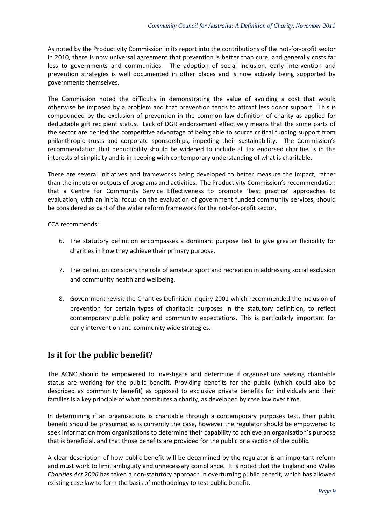As noted by the Productivity Commission in its report into the contributions of the not-for-profit sector in 2010, there is now universal agreement that prevention is better than cure, and generally costs far less to governments and communities. The adoption of social inclusion, early intervention and prevention strategies is well documented in other places and is now actively being supported by governments themselves.

The Commission noted the difficulty in demonstrating the value of avoiding a cost that would otherwise be imposed by a problem and that prevention tends to attract less donor support. This is compounded by the exclusion of prevention in the common law definition of charity as applied for deductable gift recipient status. Lack of DGR endorsement effectively means that the some parts of the sector are denied the competitive advantage of being able to source critical funding support from philanthropic trusts and corporate sponsorships, impeding their sustainability. The Commission's recommendation that deductibility should be widened to include all tax endorsed charities is in the interests of simplicity and is in keeping with contemporary understanding of what is charitable.

There are several initiatives and frameworks being developed to better measure the impact, rather than the inputs or outputs of programs and activities. The Productivity Commission's recommendation that a Centre for Community Service Effectiveness to promote 'best practice' approaches to evaluation, with an initial focus on the evaluation of government funded community services, should be considered as part of the wider reform framework for the not-for-profit sector.

CCA recommends:

- 6. The statutory definition encompasses a dominant purpose test to give greater flexibility for charities in how they achieve their primary purpose.
- 7. The definition considers the role of amateur sport and recreation in addressing social exclusion and community health and wellbeing.
- 8. Government revisit the Charities Definition Inquiry 2001 which recommended the inclusion of prevention for certain types of charitable purposes in the statutory definition, to reflect contemporary public policy and community expectations. This is particularly important for early intervention and community wide strategies.

# **Is it for the public benefit?**

The ACNC should be empowered to investigate and determine if organisations seeking charitable status are working for the public benefit. Providing benefits for the public (which could also be described as community benefit) as opposed to exclusive private benefits for individuals and their families is a key principle of what constitutes a charity, as developed by case law over time.

In determining if an organisations is charitable through a contemporary purposes test, their public benefit should be presumed as is currently the case, however the regulator should be empowered to seek information from organisations to determine their capability to achieve an organisation's purpose that is beneficial, and that those benefits are provided for the public or a section of the public.

A clear description of how public benefit will be determined by the regulator is an important reform and must work to limit ambiguity and unnecessary compliance. It is noted that the England and Wales *Charities Act 2006* has taken a non-statutory approach in overturning public benefit, which has allowed existing case law to form the basis of methodology to test public benefit.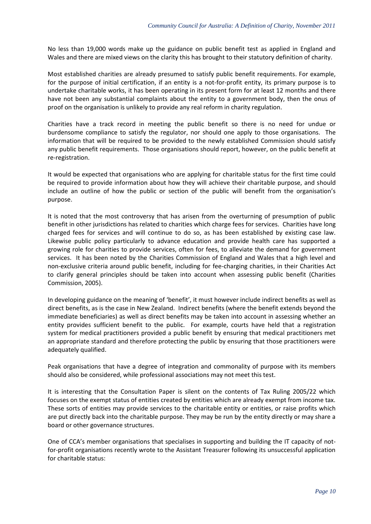No less than 19,000 words make up the guidance on public benefit test as applied in England and Wales and there are mixed views on the clarity this has brought to their statutory definition of charity.

Most established charities are already presumed to satisfy public benefit requirements. For example, for the purpose of initial certification, if an entity is a not-for-profit entity, its primary purpose is to undertake charitable works, it has been operating in its present form for at least 12 months and there have not been any substantial complaints about the entity to a government body, then the onus of proof on the organisation is unlikely to provide any real reform in charity regulation.

Charities have a track record in meeting the public benefit so there is no need for undue or burdensome compliance to satisfy the regulator, nor should one apply to those organisations. The information that will be required to be provided to the newly established Commission should satisfy any public benefit requirements. Those organisations should report, however, on the public benefit at re-registration.

It would be expected that organisations who are applying for charitable status for the first time could be required to provide information about how they will achieve their charitable purpose, and should include an outline of how the public or section of the public will benefit from the organisation's purpose.

It is noted that the most controversy that has arisen from the overturning of presumption of public benefit in other jurisdictions has related to charities which charge fees for services. Charities have long charged fees for services and will continue to do so, as has been established by existing case law. Likewise public policy particularly to advance education and provide health care has supported a growing role for charities to provide services, often for fees, to alleviate the demand for government services. It has been noted by the Charities Commission of England and Wales that a high level and non-exclusive criteria around public benefit, including for fee-charging charities, in their Charities Act to clarify general principles should be taken into account when assessing public benefit (Charities Commission, 2005).

In developing guidance on the meaning of 'benefit', it must however include indirect benefits as well as direct benefits, as is the case in New Zealand. Indirect benefits (where the benefit extends beyond the immediate beneficiaries) as well as direct benefits may be taken into account in assessing whether an entity provides sufficient benefit to the public. For example, courts have held that a registration system for medical practitioners provided a public benefit by ensuring that medical practitioners met an appropriate standard and therefore protecting the public by ensuring that those practitioners were adequately qualified.

Peak organisations that have a degree of integration and commonality of purpose with its members should also be considered, while professional associations may not meet this test.

It is interesting that the Consultation Paper is silent on the contents of Tax Ruling 2005/22 which focuses on the exempt status of entities created by entities which are already exempt from income tax. These sorts of entities may provide services to the charitable entity or entities, or raise profits which are put directly back into the charitable purpose. They may be run by the entity directly or may share a board or other governance structures.

One of CCA's member organisations that specialises in supporting and building the IT capacity of notfor-profit organisations recently wrote to the Assistant Treasurer following its unsuccessful application for charitable status: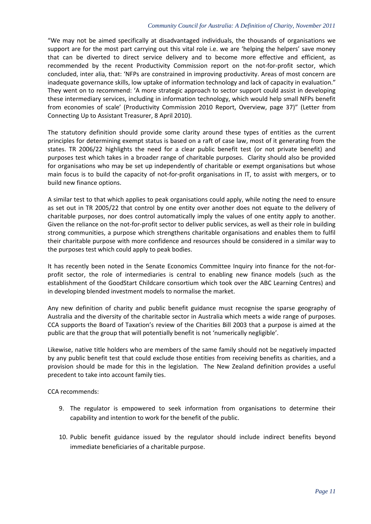"We may not be aimed specifically at disadvantaged individuals, the thousands of organisations we support are for the most part carrying out this vital role i.e. we are 'helping the helpers' save money that can be diverted to direct service delivery and to become more effective and efficient, as recommended by the recent Productivity Commission report on the not-for-profit sector, which concluded, inter alia, that: 'NFPs are constrained in improving productivity. Areas of most concern are inadequate governance skills, low uptake of information technology and lack of capacity in evaluation." They went on to recommend: 'A more strategic approach to sector support could assist in developing these intermediary services, including in information technology, which would help small NFPs benefit from economies of scale' (Productivity Commission 2010 Report, Overview, page 37)" (Letter from Connecting Up to Assistant Treasurer, 8 April 2010).

The statutory definition should provide some clarity around these types of entities as the current principles for determining exempt status is based on a raft of case law, most of it generating from the states. TR 2006/22 highlights the need for a clear public benefit test (or not private benefit) and purposes test which takes in a broader range of charitable purposes. Clarity should also be provided for organisations who may be set up independently of charitable or exempt organisations but whose main focus is to build the capacity of not-for-profit organisations in IT, to assist with mergers, or to build new finance options.

A similar test to that which applies to peak organisations could apply, while noting the need to ensure as set out in TR 2005/22 that control by one entity over another does not equate to the delivery of charitable purposes, nor does control automatically imply the values of one entity apply to another. Given the reliance on the not-for-profit sector to deliver public services, as well as their role in building strong communities, a purpose which strengthens charitable organisations and enables them to fulfil their charitable purpose with more confidence and resources should be considered in a similar way to the purposes test which could apply to peak bodies.

It has recently been noted in the Senate Economics Committee Inquiry into finance for the not-forprofit sector, the role of intermediaries is central to enabling new finance models (such as the establishment of the GoodStart Childcare consortium which took over the ABC Learning Centres) and in developing blended investment models to normalise the market.

Any new definition of charity and public benefit guidance must recognise the sparse geography of Australia and the diversity of the charitable sector in Australia which meets a wide range of purposes. CCA supports the Board of Taxation's review of the Charities Bill 2003 that a purpose is aimed at the public are that the group that will potentially benefit is not 'numerically negligible'.

Likewise, native title holders who are members of the same family should not be negatively impacted by any public benefit test that could exclude those entities from receiving benefits as charities, and a provision should be made for this in the legislation. The New Zealand definition provides a useful precedent to take into account family ties.

CCA recommends:

- 9. The regulator is empowered to seek information from organisations to determine their capability and intention to work for the benefit of the public.
- 10. Public benefit guidance issued by the regulator should include indirect benefits beyond immediate beneficiaries of a charitable purpose.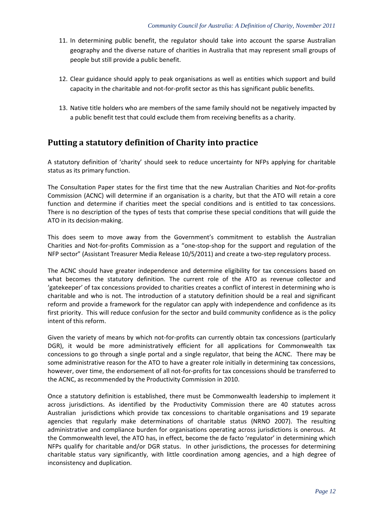- 11. In determining public benefit, the regulator should take into account the sparse Australian geography and the diverse nature of charities in Australia that may represent small groups of people but still provide a public benefit.
- 12. Clear guidance should apply to peak organisations as well as entities which support and build capacity in the charitable and not-for-profit sector as this has significant public benefits.
- 13. Native title holders who are members of the same family should not be negatively impacted by a public benefit test that could exclude them from receiving benefits as a charity.

# **Putting a statutory definition of Charity into practice**

A statutory definition of 'charity' should seek to reduce uncertainty for NFPs applying for charitable status as its primary function.

The Consultation Paper states for the first time that the new Australian Charities and Not-for-profits Commission (ACNC) will determine if an organisation is a charity, but that the ATO will retain a core function and determine if charities meet the special conditions and is entitled to tax concessions. There is no description of the types of tests that comprise these special conditions that will guide the ATO in its decision-making.

This does seem to move away from the Government's commitment to establish the Australian Charities and Not-for-profits Commission as a "one-stop-shop for the support and regulation of the NFP sector" (Assistant Treasurer Media Release 10/5/2011) and create a two-step regulatory process.

The ACNC should have greater independence and determine eligibility for tax concessions based on what becomes the statutory definition. The current role of the ATO as revenue collector and 'gatekeeper' of tax concessions provided to charities creates a conflict of interest in determining who is charitable and who is not. The introduction of a statutory definition should be a real and significant reform and provide a framework for the regulator can apply with independence and confidence as its first priority. This will reduce confusion for the sector and build community confidence as is the policy intent of this reform.

Given the variety of means by which not-for-profits can currently obtain tax concessions (particularly DGR), it would be more administratively efficient for all applications for Commonwealth tax concessions to go through a single portal and a single regulator, that being the ACNC.There may be some administrative reason for the ATO to have a greater role initially in determining tax concessions, however, over time, the endorsement of all not-for-profits for tax concessions should be transferred to the ACNC, as recommended by the Productivity Commission in 2010.

Once a statutory definition is established, there must be Commonwealth leadership to implement it across jurisdictions. As identified by the Productivity Commission there are 40 statutes across Australian jurisdictions which provide tax concessions to charitable organisations and 19 separate agencies that regularly make determinations of charitable status (NRNO 2007). The resulting administrative and compliance burden for organisations operating across jurisdictions is onerous. At the Commonwealth level, the ATO has, in effect, become the de facto 'regulator' in determining which NFPs qualify for charitable and/or DGR status. In other jurisdictions, the processes for determining charitable status vary significantly, with little coordination among agencies, and a high degree of inconsistency and duplication.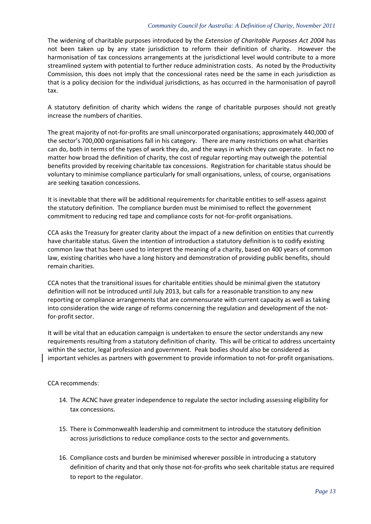#### *Community Council for Australia: A Definition of Charity, November 2011*

The widening of charitable purposes introduced by the *Extension of Charitable Purposes Act 2004* has not been taken up by any state jurisdiction to reform their definition of charity. However the harmonisation of tax concessions arrangements at the jurisdictional level would contribute to a more streamlined system with potential to further reduce administration costs. As noted by the Productivity Commission, this does not imply that the concessional rates need be the same in each jurisdiction as that is a policy decision for the individual jurisdictions, as has occurred in the harmonisation of payroll tax.

A statutory definition of charity which widens the range of charitable purposes should not greatly increase the numbers of charities.

The great majority of not-for-profits are small unincorporated organisations; approximately 440,000 of the sector's 700,000 organisations fall in his category. There are many restrictions on what charities can do, both in terms of the types of work they do, and the ways in which they can operate. In fact no matter how broad the definition of charity, the cost of regular reporting may outweigh the potential benefits provided by receiving charitable tax concessions. Registration for charitable status should be voluntary to minimise compliance particularly for small organisations, unless, of course, organisations are seeking taxation concessions.

It is inevitable that there will be additional requirements for charitable entities to self-assess against the statutory definition. The compliance burden must be minimised to reflect the government commitment to reducing red tape and compliance costs for not-for-profit organisations.

CCA asks the Treasury for greater clarity about the impact of a new definition on entities that currently have charitable status. Given the intention of introduction a statutory definition is to codify existing common law that has been used to interpret the meaning of a charity, based on 400 years of common law, existing charities who have a long history and demonstration of providing public benefits, should remain charities.

CCA notes that the transitional issues for charitable entities should be minimal given the statutory definition will not be introduced until July 2013, but calls for a reasonable transition to any new reporting or compliance arrangements that are commensurate with current capacity as well as taking into consideration the wide range of reforms concerning the regulation and development of the notfor-profit sector.

It will be vital that an education campaign is undertaken to ensure the sector understands any new requirements resulting from a statutory definition of charity. This will be critical to address uncertainty within the sector, legal profession and government. Peak bodies should also be considered as important vehicles as partners with government to provide information to not-for-profit organisations.

### CCA recommends:

- 14. The ACNC have greater independence to regulate the sector including assessing eligibility for tax concessions.
- 15. There is Commonwealth leadership and commitment to introduce the statutory definition across jurisdictions to reduce compliance costs to the sector and governments.
- 16. Compliance costs and burden be minimised wherever possible in introducing a statutory definition of charity and that only those not-for-profits who seek charitable status are required to report to the regulator.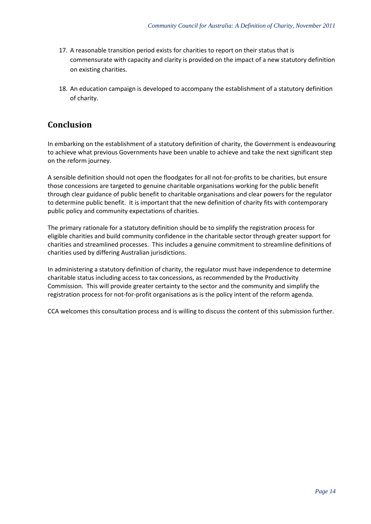- 17. A reasonable transition period exists for charities to report on their status that is commensurate with capacity and clarity is provided on the impact of a new statutory definition on existing charities.
- 18. An education campaign is developed to accompany the establishment of a statutory definition of charity.

# **Conclusion**

In embarking on the establishment of a statutory definition of charity, the Government is endeavouring to achieve what previous Governments have been unable to achieve and take the next significant step on the reform journey.

A sensible definition should not open the floodgates for all not-for-profits to be charities, but ensure those concessions are targeted to genuine charitable organisations working for the public benefit through clear guidance of public benefit to charitable organisations and clear powers for the regulator to determine public benefit. It is important that the new definition of charity fits with contemporary public policy and community expectations of charities.

The primary rationale for a statutory definition should be to simplify the registration process for eligible charities and build community confidence in the charitable sector through greater support for charities and streamlined processes. This includes a genuine commitment to streamline definitions of charities used by differing Australian jurisdictions.

In administering a statutory definition of charity, the regulator must have independence to determine charitable status including access to tax concessions, as recommended by the Productivity Commission. This will provide greater certainty to the sector and the community and simplify the registration process for not-for-profit organisations as is the policy intent of the reform agenda.

CCA welcomes this consultation process and is willing to discuss the content of this submission further.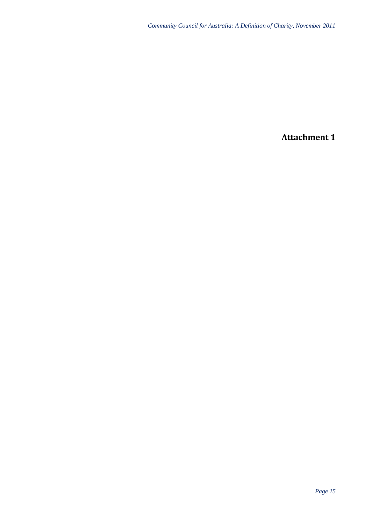**Attachment 1**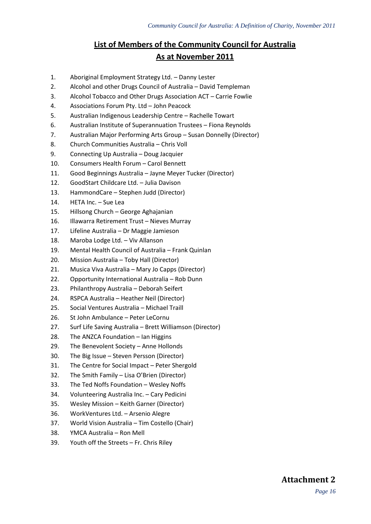# **List of Members of the Community Council for Australia As at November 2011**

- 1. Aboriginal Employment Strategy Ltd. Danny Lester
- 2. Alcohol and other Drugs Council of Australia David Templeman
- 3. Alcohol Tobacco and Other Drugs Association ACT Carrie Fowlie
- 4. Associations Forum Pty. Ltd John Peacock
- 5. Australian Indigenous Leadership Centre Rachelle Towart
- 6. Australian Institute of Superannuation Trustees Fiona Reynolds
- 7. Australian Major Performing Arts Group Susan Donnelly (Director)
- 8. Church Communities Australia Chris Voll
- 9. Connecting Up Australia Doug Jacquier
- 10. Consumers Health Forum Carol Bennett
- 11. Good Beginnings Australia Jayne Meyer Tucker (Director)
- 12. GoodStart Childcare Ltd. Julia Davison
- 13. HammondCare Stephen Judd (Director)
- 14. HETA Inc. Sue Lea
- 15. Hillsong Church George Aghajanian
- 16. Illawarra Retirement Trust Nieves Murray
- 17. Lifeline Australia Dr Maggie Jamieson
- 18. Maroba Lodge Ltd. Viv Allanson
- 19. Mental Health Council of Australia Frank Quinlan
- 20. Mission Australia Toby Hall (Director)
- 21. Musica Viva Australia Mary Jo Capps (Director)
- 22. Opportunity International Australia Rob Dunn
- 23. Philanthropy Australia Deborah Seifert
- 24. RSPCA Australia Heather Neil (Director)
- 25. Social Ventures Australia Michael Traill
- 26. St John Ambulance Peter LeCornu
- 27. Surf Life Saving Australia Brett Williamson (Director)
- 28. The ANZCA Foundation Ian Higgins
- 29. The Benevolent Society Anne Hollonds
- 30. The Big Issue Steven Persson (Director)
- 31. The Centre for Social Impact Peter Shergold
- 32. The Smith Family Lisa O'Brien (Director)
- 33. The Ted Noffs Foundation Wesley Noffs
- 34. Volunteering Australia Inc. Cary Pedicini
- 35. Wesley Mission Keith Garner (Director)
- 36. WorkVentures Ltd. Arsenio Alegre
- 37. World Vision Australia Tim Costello (Chair)
- 38. YMCA Australia Ron Mell
- 39. Youth off the Streets Fr. Chris Riley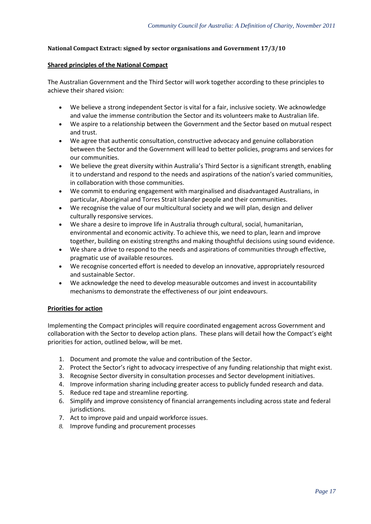### **National Compact Extract: signed by sector organisations and Government 17/3/10**

#### **Shared principles of the National Compact**

The Australian Government and the Third Sector will work together according to these principles to achieve their shared vision:

- We believe a strong independent Sector is vital for a fair, inclusive society. We acknowledge and value the immense contribution the Sector and its volunteers make to Australian life.
- We aspire to a relationship between the Government and the Sector based on mutual respect and trust.
- We agree that authentic consultation, constructive advocacy and genuine collaboration between the Sector and the Government will lead to better policies, programs and services for our communities.
- We believe the great diversity within Australia's Third Sector is a significant strength, enabling it to understand and respond to the needs and aspirations of the nation's varied communities, in collaboration with those communities.
- We commit to enduring engagement with marginalised and disadvantaged Australians, in particular, Aboriginal and Torres Strait Islander people and their communities.
- We recognise the value of our multicultural society and we will plan, design and deliver culturally responsive services.
- We share a desire to improve life in Australia through cultural, social, humanitarian, environmental and economic activity. To achieve this, we need to plan, learn and improve together, building on existing strengths and making thoughtful decisions using sound evidence.
- We share a drive to respond to the needs and aspirations of communities through effective, pragmatic use of available resources.
- We recognise concerted effort is needed to develop an innovative, appropriately resourced and sustainable Sector.
- We acknowledge the need to develop measurable outcomes and invest in accountability mechanisms to demonstrate the effectiveness of our joint endeavours.

### **Priorities for action**

Implementing the Compact principles will require coordinated engagement across Government and collaboration with the Sector to develop action plans. These plans will detail how the Compact's eight priorities for action, outlined below, will be met.

- 1. Document and promote the value and contribution of the Sector.
- 2. Protect the Sector's right to advocacy irrespective of any funding relationship that might exist.
- 3. Recognise Sector diversity in consultation processes and Sector development initiatives.
- 4. Improve information sharing including greater access to publicly funded research and data.
- 5. Reduce red tape and streamline reporting.
- 6. Simplify and improve consistency of financial arrangements including across state and federal jurisdictions.
- 7. Act to improve paid and unpaid workforce issues.
- *8.* Improve funding and procurement processes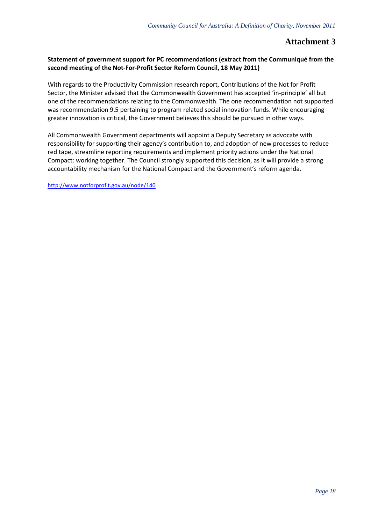### **Attachment 3**

### **Statement of government support for PC recommendations (extract from the Communiqué from the second meeting of the Not-For-Profit Sector Reform Council, 18 May 2011)**

With regards to the Productivity Commission research report, Contributions of the Not for Profit Sector, the Minister advised that the Commonwealth Government has accepted 'in-principle' all but one of the recommendations relating to the Commonwealth. The one recommendation not supported was recommendation 9.5 pertaining to program related social innovation funds. While encouraging greater innovation is critical, the Government believes this should be pursued in other ways.

All Commonwealth Government departments will appoint a Deputy Secretary as advocate with responsibility for supporting their agency's contribution to, and adoption of new processes to reduce red tape, streamline reporting requirements and implement priority actions under the National Compact: working together. The Council strongly supported this decision, as it will provide a strong accountability mechanism for the National Compact and the Government's reform agenda.

<http://www.notforprofit.gov.au/node/140>